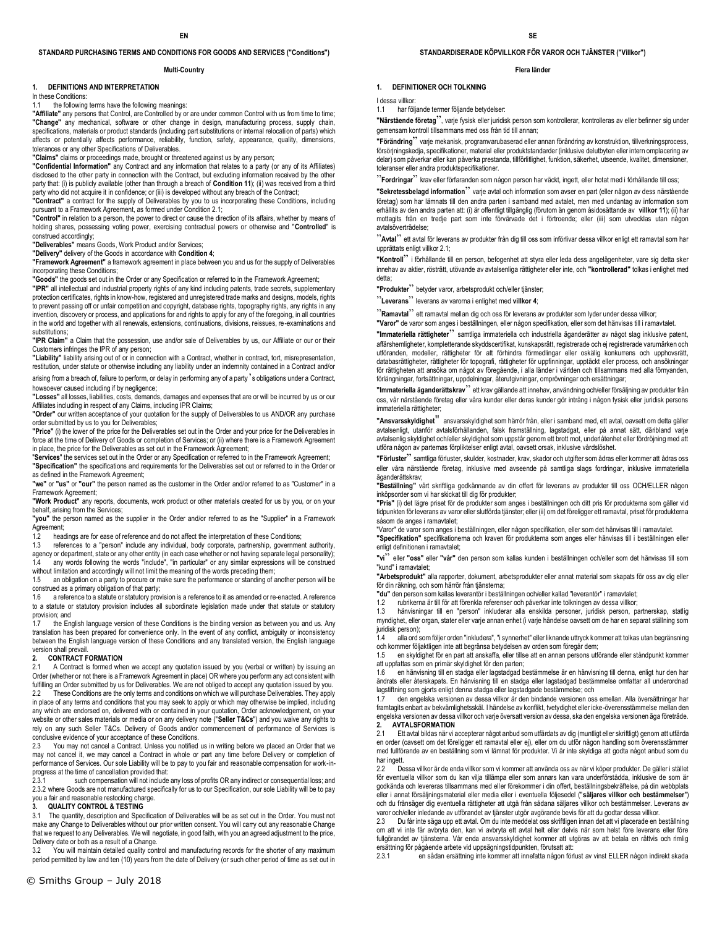### **STANDARD PURCHASING TERMS AND CONDITIONS FOR GOODS AND SERVICES ("Conditions")**

#### **Multi-Country**

### **1. DEFINITIONS AND INTERPRETATION**

In these Conditions:

### 1.1 the following terms have the following meanings:

**"Affiliate"** any persons that Control, are Controlled by or are under common Control with us from time to time; **"Change"** any mechanical, software or other change in design, manufacturing process, supply chain, specifications, materials or product standards (including part substitutions or internal relocation of parts) which affects or potentially affects performance, reliability, function, safety, appearance, quality, dimensions, tolerances or any other Specifications of Deliverables.

**"Claims"** claims or proceedings made, brought or threatened against us by any person;

**"Confidential Information"** any Contract and any information that relates to a party (or any of its Affiliates) disclosed to the other party in connection with the Contract, but excluding information received by the other party that: (i) is publicly available (other than through a breach of **Condition 11**); (ii) was received from a third party who did not acquire it in confidence; or (iii) is developed without any breach of the Contract;

**"Contract"** a contract for the supply of Deliverables by you to us incorporating these Conditions, including pursuant to a Framework Agreement, as formed under Condition 2.1;

**"Control"** in relation to a person, the power to direct or cause the direction of its affairs, whether by means of holding shares, possessing voting power, exercising contractual powers or otherwise and "**Controlled**" is construed accordingly;

**"Deliverables"** means Goods, Work Product and/or Services;

**"Delivery"** delivery of the Goods in accordance with **Condition 4**;

**"Framework Agreement"** a framework agreement in place between you and us for the supply of Deliverables incorporating these Conditions;

**"Goods"** the goods set out in the Order or any Specification or referred to in the Framework Agreement;

**"IPR"** all intellectual and industrial property rights of any kind including patents, trade secrets, supplementary protection certificates, rights in know-how, registered and unregistered trade marks and designs, models, rights .<br>to prevent passing off or unfair competition and copyright, database rights, topography rights, any rights in any invention, discovery or process, and applications for and rights to apply for any of the foregoing, in all countries in the world and together with all renewals, extensions, continuations, divisions, reissues, re-examinations and substitutions:

**"IPR Claim"** a Claim that the possession, use and/or sale of Deliverables by us, our Affiliate or our or their Customers infringes the IPR of any person;

**"Liability"** liability arising out of or in connection with a Contract, whether in contract, tort, misrepresentation, restitution, under statute or otherwise including any liability under an indemnity contained in a Contract and/or

arising from a breach of, failure to perform, or delay in performing any of a party's obligations under a Contract, howsoever caused including if by negligence;

**"Losses"** all losses, liabilities, costs, demands, damages and expenses that are or will be incurred by us or our Affiliates including in respect of any Claims, including IPR Claims;

**"Order"** our written acceptance of your quotation for the supply of Deliverables to us AND/OR any purchase order submitted by us to you for Deliverables;

**"Price"** (i) the lower of the price for the Deliverables set out in the Order and your price for the Deliverables in force at the time of Delivery of Goods or completion of Services; or (ii) where there is a Framework Agreement in place, the price for the Deliverables as set out in the Framework Agreement;

"**Services**" the services set out in the Order or any Specification or referred to in the Framework Agreement; **"Specification"** the specifications and requirements for the Deliverables set out or referred to in the Order or as defined in the Framework Agreement;

**"we"** or **"us"** or **"our"** the person named as the customer in the Order and/or referred to as "Customer" in a Framework Agreement;

**"Work Product"** any reports, documents, work product or other materials created for us by you, or on your behalf, arising from the Services;

**"you"** the person named as the supplier in the Order and/or referred to as the "Supplier" in a Framework Agreement;

1.2 headings are for ease of reference and do not affect the interpretation of these Conditions;

1.3 references to a "person" include any individual, body corporate, partnership, government authority, agency or department, state or any other entity (in each case whether or not having separate legal personality);

1.4 any words following the words "include", "in particular" or any similar expressions will be construed without limitation and accordingly will not limit the meaning of the words preceding them;

1.5 an obligation on a party to procure or make sure the performance or standing of another person will be

construed as a primary obligation of that party;<br>1.6 areference to a statute or statutory provision is a reference to it as amended or re-enacted. A reference to a statute or statutory provision includes all subordinate legislation made under that statute or statutory provision; and

the English language version of these Conditions is the binding version as between you and us. Any translation has been prepared for convenience only. In the event of any conflict, ambiguity or inconsistency between the English language version of these Conditions and any translated version, the English language version shall prevail.

## **2. CONTRACT FORMATION**<br>2.1 A Contract is formed when

A Contract is formed when we accept any quotation issued by you (verbal or written) by issuing an Order (whether or not there is a Framework Agreement in place) OR where you perform any act consistent with fulfilling an Order submitted by us for Deliverables. We are not obliged to accept any quotation issued by you. 2.2 These Conditions are the only terms and conditions on which we will purchase Deliverables. They apply in place of any terms and conditions that you may seek to apply or which may otherwise be implied, including any which are endorsed on, delivered with or contained in your quotation, Order acknowledgement, on your website or other sales materials or media or on any delivery note ("**Seller T&Cs**") and you waive any rights to rely on any such Seller T&Cs. Delivery of Goods and/or commencement of performance of Services is conclusive evidence of your acceptance of these Conditions.

2.3 You may not cancel a Contract. Unless you notified us in writing before we placed an Order that we may not cancel it, we may cancel a Contract in whole or part any time before Delivery or completion of performance of Services. Our sole Liability will be to pay to you fair and reasonable compensation for work-inprogress at the time of cancellation provided that:<br>231 such compensation will not include

such compensation will not include any loss of profits OR any indirect or consequential loss; and 2.3.2 where Goods are not manufactured specifically for us to our Specification, our sole Liability will be to pay you a fair and reasonable restocking charge.

#### **3. QUALITY CONTROL & TESTING**

3.1 The quantity, description and Specification of Deliverables will be as set out in the Order. You must not make any Change to Deliverables without our prior written consent. You will carry out any reasonable Change that we request to any Deliverables. We will negotiate, in good faith, with you an agreed adjustment to the price, Delivery date or both as a result of a Change.

3.2 You will maintain detailed quality control and manufacturing records for the shorter of any maximum period permitted by law and ten (10) years from the date of Delivery (or such other period of time as set out in

### **STANDARDISERADE KÖPVILLKOR FÖR VAROR OCH TJÄNSTER ("Villkor")**

#### **Flera länder**

### **1. DEFINITIONER OCH TOLKNING**

I dessa villkor: 1.1 har följande termer följande betydelser:

**"Närstående företag**", varje fysisk eller juridisk person som kontrollerar, kontrolleras av eller befinner sig under gemensam kontroll tillsammans med oss från tid till annan;

**"Förändring**" varje mekanisk, programvarubaserad eller annan förändring av konstruktion, tillverkningsprocess, försörjningskedja, specifikationer, material eller produktstandarder (inklusive delutbyten eller intern omplacering av delar) som påverkar eller kan påverka prestanda, tillförlitlighet, funktion, säkerhet, utseende, kvalitet, dimensioner, toleranser eller andra produktspecifikationer.

<sup>22</sup> **Fordringar**<sup>22</sup> krav eller förfaranden som någon person har väckt, ingett, eller hotat med i förhållande till oss;

**"Sekretessbelagd information**" varje avtal och information som avser en part (eller någon av dess närstående företag) som har lämnats till den andra parten i samband med avtalet, men med undantag av information som erhållits av den andra parten att: (i) är offentligt tillgänglig (förutom än genom åsidosättande av **villkor 11**); (ii) har mottagits från en tredje part som inte förvärvade det i förtroende; eller (iii) som utvecklas utan någon avtalsöverträdelse;

"**Avtal**" ett avtal för leverans av produkter från dig till oss som införlivar dessa villkor enligt ett ramavtal som har upprättats enligt villkor 2.1;

**"Kontroll**" i förhållande till en person, befogenhet att styra eller leda dess angelägenheter, vare sig detta sker innehav av aktier, rösträtt, utövande av avtalsenliga rättigheter eller inte, och **"kontrollerad"** tolkas i enlighet med detta;

**"Produkter**" betyder varor, arbetsprodukt och/eller tjänster;

"**Leverans**" leverans av varorna i enlighet med **villkor 4**;

"**Ramavtal**" ett ramavtal mellan dig och oss för leverans av produkter som lyder under dessa villkor; **"Varor"** de varor som anges i beställningen, eller någon specifikation, eller som det hänvisas till i ramavtalet.

**"Immateriella rättigheter**" samtliga immateriella och industriella äganderätter av något slag inklusive patent, affärshemligheter, kompletterande skyddscertifikat, kunskapsrätt, registrerade och ej registrerade varumärken och utföranden, modeller, rättigheter för att förhindra förmedlingar eller oskälig konkurrens och upphovsrätt, databasrättigheter, rättigheter för topografi, rättigheter för uppfinningar, upptäckt eller process, och ansökningar

för rättigheten att ansöka om något av föregående, i alla länder i världen och tillsammans med alla förnyanden, förlängningar, fortsättningar, uppdelningar, återutgivningar, omprövningar och ersättningar; **"Immateriella äganderättskrav**" ett krav gällande att innehav, användning och/eller försäljning av produkter från

oss, vår närstående företag eller våra kunder eller deras kunder gör intrång i någon fysisk eller juridisk persons immateriella rättigheter;

**"Ansvarsskyldighet**" ansvarsskyldighet som härrör från, eller i samband med, ett avtal, oavsett om detta gäller avtalsenligt, utanför avtalsförhållanden, falsk framställning, lagstadgat, eller på annat sätt, däribland varje avtalsenlig skyldighet och/eller skyldighet som uppstår genom ett brott mot, underlåtenhet eller fördröjning med att utföra någon av parternas förpliktelser enligt avtal, oavsett orsak, inklusive vårdslöshet.

**"Förluster**" samtliga förluster, skulder, kostnader, krav, skador och utgifter som ådras eller kommer att ådras oss eller våra närstående företag, inklusive med avseende på samtliga slags fordringar, inklusive immateriella äganderättskrav;

**"Beställning"** vårt skriftliga godkännande av din offert för leverans av produkter till oss OCH/ELLER någon inköpsorder som vi har skickat till dig för produkter;

**"Pris"** (i) det lägre priset för de produkter som anges i beställningen och ditt pris för produkterna som gäller vid tidpunkten för leverans av varor eller slutförda tjänster; eller (ii) om det föreligger ett ramavtal, priset för produkterna såsom de anges i ramavtalet;

"Varor" de varor som anges i beställningen, eller någon specifikation, eller som det hänvisas till i ramavtalet.

**"Specifikation"** specifikationerna och kraven för produkterna som anges eller hänvisas till i beställningen eller enligt definitionen i ramavtalet;

**"vi**" eller **"oss"** eller **"vår"** den person som kallas kunden i beställningen och/eller som det hänvisas till som "kund" i ramavtalet;

**"Arbetsprodukt"** alla rapporter, dokument, arbetsprodukter eller annat material som skapats för oss av dig eller för din räkning, och som härrör från tjänsterna;

**"du"** den person som kallas leverantör i beställningen och/eller kallad "leverantör" i ramavtalet;

1.2 rubrikerna är till för att förenkla referenser och påverkar inte tolkningen av dessa villkor;<br>1.3 hänvisningar till en "person" inkluderar alla enskilda personer, juridisk person, pa

hänvisningar till en "person" inkluderar alla enskilda personer, juridisk person, partnerskap, statlig myndighet, eller organ, stater eller varje annan enhet (i varje händelse oavsett om de har en separat ställning som juridisk person);

1.4 alla ord som följer orden "inkludera", "i synnerhet" eller liknande uttryck kommer att tolkas utan begränsning<br>och kommer följaktligen inte att begränsa betydelsen av orden som föregår dem;

1.5 en skyldighet för en part att anskaffa, eller tillse att en annan persons utförande eller ståndpunkt kommer att uppfattas som en primär skyldighet för den parten;

1.6 en hänvisning till en stadga eller lagstadgad bestämmelse är en hänvisning till denna, enligt hur den har ändrats eller återskapats. En hänvisning till en stadga eller lagstadgad bestämmelse omfattar all underordnad lagstiftning som gjorts enligt denna stadga eller lagstadgade bestämmelse; och

1.7 den engelska versionen av dessa villkor är den bindande versionen oss emellan. Alla översättningar har framtagits enbart av bekvämlighetsskäl. I händelse av konflikt, tvetydighet eller icke-överensstämmelse mellan den engelska versionen av dessa villkor och varje översatt version av dessa, ska den engelska versionen äga företräde. **2. AVTALSFORMATION**

2.1 Ett avtal bildas när vi accepterar något anbud som utfärdats av dig (muntligt eller skriftligt) genom att utfärda en order (oavsett om det föreligger ett ramavtal eller ej), eller om du utför någon handling som överensstämmer med fullförande av en beställning som vi lämnat för produkter. Vi är inte skyldiga att godta något anbud som du har ingett.

2.2 Dessa villkor är de enda villkor som vi kommer att använda oss av när vi köper produkter. De gäller i stället för eventuella villkor som du kan vilja tillämpa eller som annars kan vara underförstådda, inklusive de som är godkända och levereras tillsammans med eller förekommer i din offert, beställningsbekräftelse, på din webbplats<br>eller i annat försäljningsmaterial eller media eller i eventuella följesedel (**"säljares villkor och bestämmel** och du frånsäger dig eventuella rättigheter att utgå från sådana säljares villkor och bestämmelser. Leverans av varor och/eller inledande av utförandet av tjänster utgör avgörande bevis för att du godtar dessa villkor.<br>2.3. Du får inte säga upp ett avtal. Om du inte meddelat oss skriftligen innan det att vi placerade en b

2.3 Du får inte säga upp ett avtal. Om du inte meddelat oss skriftligen innan det att vi placerade en beställning om att vi inte får avbryta den, kan vi avbryta ett avtal helt eller delvis när som helst före leverans eller före fullgörandet av tjänsterna. Vår enda ansvarsskyldighet kommer att utgöras av att betala en rättvis och rimlig ersättning för pågående arbete vid uppsägningstidpunkten, förutsatt att:

2.3.1 en sådan ersättning inte kommer att innefatta någon förlust av vinst ELLER någon indirekt skada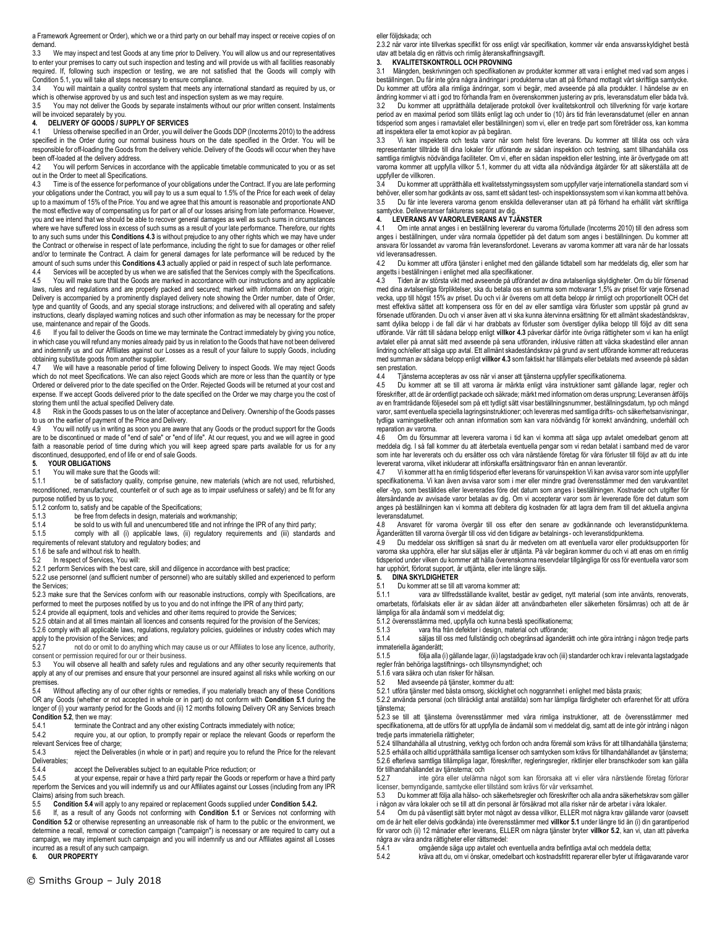a Framework Agreement or Order), which we or a third party on our behalf may inspect or receive copies of on demand.

3.3 We may inspect and test Goods at any time prior to Delivery. You will allow us and our representatives to enter your premises to carry out such inspection and testing and will provide us with all facilities reasonably required. If, following such inspection or testing, we are not satisfied that the Goods will comply with Condition 5.1, you will take all steps necessary to ensure compliance.

3.4 You will maintain a quality control system that meets any international standard as required by us, or which is otherwise approved by us and such test and inspection system as we may require.

3.5 You may not deliver the Goods by separate instalments without our prior written consent. Instalments will be invoiced separately by you.

### **4. DELIVERY OF GOODS / SUPPLY OF SERVICES**

4.1 Unless otherwise specified in an Order, you will deliver the Goods DDP (Incoterms 2010) to the address specified in the Order during our normal business hours on the date specified in the Order. You will be responsible for off-loading the Goods from the delivery vehicle. Delivery of the Goods will occur when they have been off-loaded at the delivery address.

4.2 You will perform Services in accordance with the applicable timetable communicated to you or as set out in the Order to meet all Specifications.

4.3 Time is of the essence for performance of your obligations under the Contract. If you are late performing your obligations under the Contract, you will pay to us a sum equal to 1.5% of the Price for each week of delay up to a maximum of 15% of the Price. You and we agree that this amount is reasonable and proportionate AND the most effective way of compensating us for part or all of our losses arising from late performance. However, you and we intend that we should be able to recover general damages as well as such sums in circumstances where we have suffered loss in excess of such sums as a result of your late performance. Therefore, our rights to any such sums under this **Conditions 4.3** is without prejudice to any other rights which we may have under the Contract or otherwise in respect of late performance, including the right to sue for damages or other relief and/or to terminate the Contract. A claim for general damages for late performance will be reduced by the amount of such sums under this **Conditions 4.3** actually applied or paid in respect of such late performance.

4.4 Services will be accepted by us when we are satisfied that the Services comply with the Specifications.<br>4.5 You will make sure that the Goods are marked in accordance with our instructions and any applicable You will make sure that the Goods are marked in accordance with our instructions and any applicable laws, rules and regulations and are properly packed and secured; marked with information on their origin; Delivery is accompanied by a prominently displayed delivery note showing the Order number, date of Order, type and quantity of Goods, and any special storage instructions; and delivered with all operating and safety instructions, clearly displayed warning notices and such other information as may be necessary for the proper use, maintenance and repair of the Goods.<br>4.6 If you fail to deliver the Goods on tir

If you fail to deliver the Goods on time we may terminate the Contract immediately by giving you notice, in which case you will refund any monies already paid by us in relation to the Goods that have not been delivered and indemnify us and our Affiliates against our Losses as a result of your failure to supply Goods, including obtaining substitute goods from another supplier.<br>4.7 We will have a reasonable period of time

We will have a reasonable period of time following Delivery to inspect Goods. We may reject Goods which do not meet Specifications. We can also reject Goods which are more or less than the quantity or type Ordered or delivered prior to the date specified on the Order. Rejected Goods will be returned at your cost and expense. If we accept Goods delivered prior to the date specified on the Order we may charge you the cost of storing them until the actual specified Delivery date.

4.8 Risk in the Goods passes to us on the later of acceptance and Delivery. Ownership of the Goods passes to us on the earlier of payment of the Price and Delivery.<br>4.9 You will notify us in writing as soon you are aware

You will notify us in writing as soon you are aware that any Goods or the product support for the Goods are to be discontinued or made of "end of sale" or "end of life". At our request, you and we will agree in good faith a reasonable period of time during which you will keep agreed spare parts available for us for any<br>discontinued, desupported, end of life or end of sale Goods.

### **5. YOUR OBLIGATIONS**

### 5.1 You will make sure that the Goods will:

5.1.1 be of satisfactory quality, comprise genuine, new materials (which are not used, refurbished, reconditioned, remanufactured, counterfeit or of such age as to impair usefulness or safety) and be fit for any purpose notified by us to you;

 $5.1.2$  conform to, satisfy and be capable of the Specifications;<br>5.1.3 be free from defects in design. materials and w

be free from defects in design, materials and workmanship;

5.1.4 be sold to us with full and unencumbered title and not infringe the IPR of any third party;<br>5.1.5 comply with all (i) applicable laws. (ii) requlatory requirements and (iii) standard

comply with all (i) applicable laws, (ii) regulatory requirements and (iii) standards and

requirements of relevant statutory and regulatory bodies; and

5.1.6 be safe and without risk to health.

5.2 In respect of Services, You will:

5.2.1 perform Services with the best care, skill and diligence in accordance with best practice;

5.2.2 use personnel (and sufficient number of personnel) who are suitably skilled and experienced to perform the Services;

5.2.3 make sure that the Services conform with our reasonable instructions, comply with Specifications, are performed to meet the purposes notified by us to you and do not infringe the IPR of any third party;

5.2.4 provide all equipment, tools and vehicles and other items required to provide the Services;

5.2.5 obtain and at all times maintain all licences and consents required for the provision of the Services;

5.2.6 comply with all applicable laws, regulations, regulatory policies, guidelines or industry codes which may apply to the provision of the Services; and<br>5.2.7 pot do or omit to do anything

not do or omit to do anything which may cause us or our Affiliates to lose any licence, authority, consent or permission required for our or their business.<br>5.3 You will observe all health and safety rules and

You will observe all health and safety rules and regulations and any other security requirements that apply at any of our premises and ensure that your personnel are insured against all risks while working on our premises.

5.4 Without affecting any of our other rights or remedies, if you materially breach any of these Conditions OR any Goods (whether or not accepted in whole or in part) do not conform with **Condition 5.1** during the longer of (i) your warranty period for the Goods and (ii) 12 months following Delivery OR any Services breach **Condition 5.2**, then we may:<br>5.4.1 terminate the

5.4.1 terminate the Contract and any other existing Contracts immediately with notice;<br>5.4.2 require you, at our option, to promptly repair or replace the relevant Goods or

require you, at our option, to promptly repair or replace the relevant Goods or reperform the relevant Services free of charge;

5.4.3 reject the Deliverables (in whole or in part) and require you to refund the Price for the relevant Deliverables;<br>5.4.4

5.4.4 accept the Deliverables subject to an equitable Price reduction; or 5.4.5 at your expense, repair or have a third party repair the Goods or re

at your expense, repair or have a third party repair the Goods or reperform or have a third party reperform the Services and you will indemnify us and our Affiliates against our Losses (including from any IPR Claims) arising from such breach.<br>5.5 Condition 5.4 will apply to

5.5 **Condition 5.4** will apply to any repaired or replacement Goods supplied under **Condition 5.4.2.**

5.6 If, as a result of any Goods not conforming with **Condition 5.1** or Services not conforming with **Condition 5.2** or otherwise representing an unreasonable risk of harm to the public or the environment, we determine a recall, removal or correction campaign ("campaign") is necessary or are required to carry out a campaign, we may implement such campaign and you will indemnify us and our Affiliates against all Losses incurred as a result of any such campaign.

**6. OUR PROPERTY**

eller följdskada; och

2.3.2 när varor inte tillverkas specifikt för oss enligt vår specifikation, kommer vår enda ansvarsskyldighet bestå utav att betala dig en rättvis och rimlig återanskaffningsavgift.

#### **3. KVALITETSKONTROLL OCH PROVNING**

Mängden, beskrivningen och specifikationen av produkter kommer att vara i enlighet med vad som anges i beställningen. Du får inte göra några ändringar i produkterna utan att på förhand mottagit vårt skriftliga samtycke. Du kommer att utföra alla rimliga ändringar, som vi begär, med avseende på alla produkter. I händelse av en ändring kommer vi att i god tro förhandla fram en överenskommen justering av pris, leveransdatum eller båda två. 3.2 Du kommer att upprätthålla detaljerade protokoll över kvalitetskontroll och tillverkning för varje kortare period av en maximal period som tillåts enligt lag och under tio (10) års tid från leveransdatumet (eller en annan tidsperiod som anges i ramavtalet eller beställningen) som vi, eller en tredje part som företräder oss, kan komma att inspektera eller ta emot kopior av på begäran.

3.3 Vi kan inspektera och testa varor när som helst före leverans. Du kommer att tillåta oss och våra representanter tillträde till dina lokaler för utförande av sådan inspektion och testning, samt tillhandahålla oss samtliga rimligtvis nödvändiga faciliteter. Om vi, efter en sådan inspektion eller testning, inte är övertygade om att varorna kommer att uppfylla villkor 5.1, kommer du att vidta alla nödvändiga åtgärder för att säkerställa att de uppfyller de villkoren.<br>34 Du kommer a

3.4 Du kommer att upprätthålla ett kvalitetsstyrningssystem som uppfyller varje internationella standard som vi behöver, eller som har godkänts av oss, samt ett sådant test- och inspektionssystem som vi kan komma att behöva. 3.5 Du får inte leverera varorna genom enskilda delleveranser utan att på förhand ha erhållit vårt skriftliga samtycke. Delleveranser faktureras separat av dig.

### **4. LEVERANS AV VAROR/LEVERANS AV TJÄNSTER**

4.1 Om inte annat anges i en beställning levererar du varorna förtullade (Incoterms 2010) till den adress som anges i beställningen, under våra normala öppettider på det datum som anges i beställningen. Du kommer att ansvara för lossandet av varorna från leveransfordonet. Leverans av varorna kommer att vara när de har lossats vid leveransadressen.<br>42 Du kommer at

4.2 Du kommer att utföra tjänster i enlighet med den gällande tidtabell som har meddelats dig, eller som har angetts i beställningen i enlighet med alla specifikationer.

4.3 Tiden är av största vikt med avseende på utförandet av dina avtalsenliga skyldigheter. Om du blir försenad med dina avtalsenliga förpliktelser, ska du betala oss en summa som motsvarar 1,5% av priset för varje försenad<br>vecka, upp till högst 15% av priset. Du och vi är överens om att detta belopp är rimligt och proportionellt OC mest effektiva sättet att kompensera oss för en del av eller samtliga våra förluster som uppstår på grund av försenade utföranden. Du och vi anser även att vi ska kunna återvinna ersättning för ett allmänt skadeståndskrav, samt dylika belopp i de fall där vi har drabbats av förluster som överstiger dylika belopp till följd av ditt sena utförande. Vår rätt till sådana belopp enligt **villkor 4.3** påverkar därför inte övriga rättigheter som vi kan ha enligt avtalet eller på annat sätt med avseende på sena utföranden, inklusive rätten att väcka skadestånd eller annan lindring och/eller att säga upp avtal. Ett allmänt skadeståndskrav på grund av sent utförande kommer att reduceras med summan av sådana belopp enligt **villkor 4.3** som faktiskt har tillämpats eller betalats med avseende på sådan sen prestation.

4.4 Tjänsterna accepteras av oss när vi anser att tjänsterna uppfyller specifikationerna.

Du kommer att se till att varoma är märkta enligt våra instruktioner samt gällande lagar, regler och föreskrifter, att de är ordentligt packade och säkrade; märkt med information om deras ursprung; Leveransen åtföljs av en framträdande följesedel som på ett tydligt sätt visar beställningsnummer, beställningsdatum, typ och mängd varor, samt eventuella speciella lagringsinstruktioner; och levereras med samtliga drifts- och säkerhetsanvisningar, tydliga varningsetiketter och annan information som kan vara nödvändig för korrekt användning, underhåll och reparation av varorna.

4.6 Om du försummar att leverera varorna i tid kan vi komma att säga upp avtalet omedelbart genom att meddela dig. I så fall kommer du att återbetala eventuella pengar som vi redan betalat i samband med de varor<br>som inte har levererats och du ersätter oss och våra närstående företag för våra förluster till följd av att du levererat varorna, vilket inkluderar att införskaffa ersättningsvaror från en annan leverantör.

4.7 Vi kommer att ha en rimlig tidsperiod efter leverans för varuinspektion Vi kan avvisa varor som inte uppfyller specifikationerna. Vi kan även avvisa varor som i mer eller mindre grad överensstämmer med den varukvantitet eller -typ, som beställdes eller levererades före det datum som anges i beställningen. Kostnader och utgifter för återsändande av avvisade varor betalas av dig. Om vi accepterar varor som är levererade före det datum som anges på beställningen kan vi komma att debitera dig kostnaden för att lagra dem fram till det aktuella angivna leveransdatumet.

4.8 Ansvaret för varorna övergår till oss efter den senare av godkännande och leveranstidpunkterna. Äganderätten till varorna övergår till oss vid den tidigare av betalnings- och leveranstidpunkterna.

4.9 Du meddelar oss skriftligen så snart du är medveten om att eventuella varor eller produktsupporten för varorna ska upphöra, eller har slut säljas eller är uttjänta. På vår begäran kommer du och vi att enas om en rimlig tidsperiod under vilken du kommer att hålla överenskomna reservdelar tillgängliga för oss för eventuella varor som har upphört, förlorat support, är uttjänta, eller inte längre säljs.<br>5. DINA SKYLDIGHETER

### **5. DINA SKYLDIGHETER**

5.1 Du kommer att se till att varorna kommer att:

5.1.1 vara av tillfredsställande kvalitet, består av gediget, nytt material (som inte använts, renoverats, omarbetats, förfalskats eller är av sådan ålder att användbarheten eller säkerheten försämras) och att de är lämpliga för alla ändamål som vi meddelat dig;

5.1.2 överensstämma med, uppfylla och kunna bestå specifikationerna;

5.1.3 vara fria från defekter i design, material och utförande;<br>5.1.4 säljas till oss med fullständig och obegränsad ägander:

5.1.4 säljas till oss med fullständig och obegränsad äganderätt och inte göra intrång i någon tredje parts immateriella äganderätt;<br>5.1.5 följa alla u

5.1.5 följa alla (i) gällande lagar, (ii) lagstadgade krav och (iii) standarder och krav i relevanta lagstadgade regler från behöriga lagstiftnings- och tillsynsmyndighet; och

5.1.6 vara säkra och utan risker för hälsan.

5.2 Med avseende på tjänster, kommer du att:

5.2.1 utföra tjänster med bästa omsorg, skicklighet och noggrannhet i enlighet med bästa praxis; 5.2.2 använda personal (och tillräckligt antal anställda) som har lämpliga färdigheter och erfarenhet för att utföra tiänsterna:

5.2.3 se till att tjänsterna överensstämmer med våra rimliga instruktioner, att de överensstämmer med specifikationerna, att de utförs för att uppfylla de ändamål som vi meddelat dig, samt att de inte gör intrång i någon tredje parts immateriella rättigheter;

5.2.4 tillhandahålla all utrustning, verktyg och fordon och andra föremål som krävs för att tillhandahålla tjänsterna; 5.2.5 erhålla och alltid upprätthålla samtliga licenser och samtycken som krävs för tillhandahållandet av tjänsterna; 5.2.6 efterleva samtliga tillämpliga lagar, föreskrifter, regleringsregler, riktlinjer eller branschkoder som kan gälla för tillhandahållandet av tjänsterna; och<br>5.2.7 inte göra eller utelämna

inte göra eller utelämna något som kan förorsaka att vi eller våra närstående företag förlorar

licenser, bemyndigande, samtycke eller tillstånd som krävs för vår verksamhet. 5.3 Du kommer att följa alla hälso- och säkerhetsregler och föreskrifter och alla andra säkerhetskrav som gäller i någon av våra lokaler och se till att din personal är försäkrad mot alla risker när de arbetar i våra lokaler.

5.4 Om du på väsentligt sätt bryter mot något av dessa villkor, ELLER mot några krav gällande varor (oavsett om de är helt eller delvis godkända) inte överensstämmer med **villkor 5.1** under längre tid än (i) din garantiperiod för varor och (ii) 12 månader efter leverans, ELLER om några tjänster bryter **villkor 5.2**, kan vi, utan att påverka några av våra andra rättigheter eller rättsmedel:

5.4.1 omgående säga upp avtalet och eventuella andra befintliga avtal och meddela detta;<br>5.4.2 kräva att du om vi önskar omedelbart och kostnadsfritt renarerar eller byter ut ifrånav

5.4.2 kräva att du, om vi önskar, omedelbart och kostnadsfritt reparerar eller byter ut ifrågavarande varor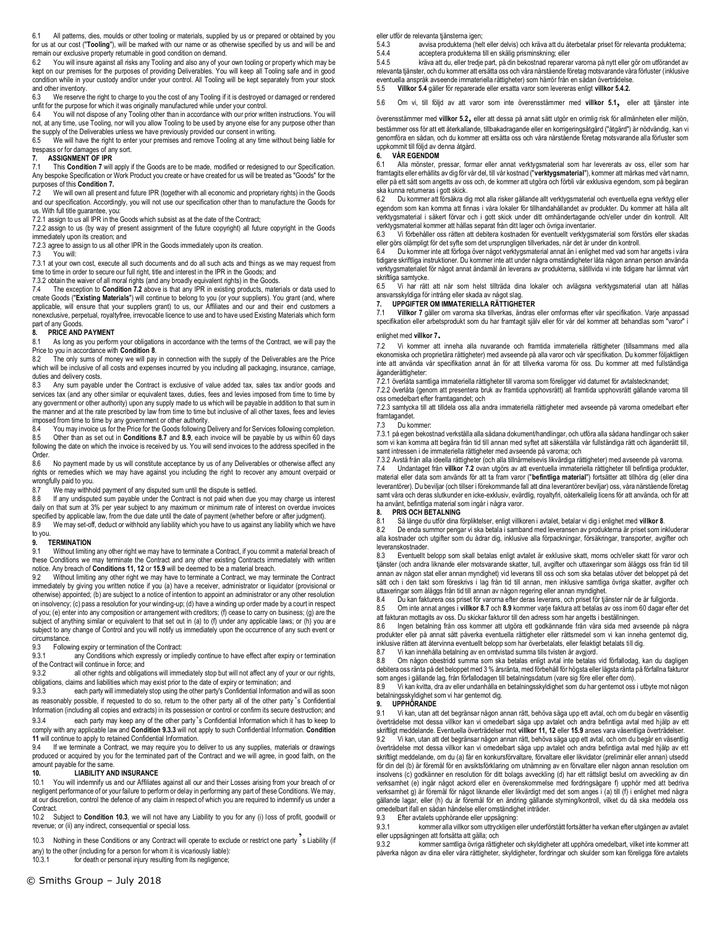6.1 All patterns, dies, moulds or other tooling or materials, supplied by us or prepared or obtained by you for us at our cost ("**Tooling**"), will be marked with our name or as otherwise specified by us and will be and remain our exclusive property returnable in good condition on demand.<br>6.2 You will insure against all risks any Tooling and also any of you

You will insure against all risks any Tooling and also any of your own tooling or property which may be kept on our premises for the purposes of providing Deliverables. You will keep all Tooling safe and in good condition while in your custody and/or under your control. All Tooling will be kept separately from your stock and other inventory.

6.3 We reserve the right to charge to you the cost of any Tooling if it is destroyed or damaged or rendered unfit for the purpose for which it was originally manufactured while under your control.<br>6.4 You will not dispose of any Tooling other than in accordance with our prior writ

6.4 You will not dispose of any Tooling other than in accordance with our prior written instructions. You will not, at any time, use Tooling, nor will you allow Tooling to be used by anyone else for any purpose other than the supply of the Deliverables unless we have previously provided our consent in writing.

6.5 We will have the right to enter your premises and remove Tooling at any time without being liable for trespass or for damages of any sort.

# **7. ASSIGNMENT OF IPR**<br>**7.1** This Condition 7 will

7.1 This **Condition 7** will apply if the Goods are to be made, modified or redesigned to our Specification. Any bespoke Specification or Work Product you create or have created for us will be treated as "Goods" for the purposes of this **Condition 7.**

7.2 We will own all present and future IPR (together with all economic and proprietary rights) in the Goods and our specification. Accordingly, you will not use our specification other than to manufacture the Goods for us. With full title guarantee, you:

7.2.1 assign to us all IPR in the Goods which subsist as at the date of the Contract:

7.2.2 assign to us (by way of present assignment of the future copyright) all future copyright in the Goods immediately upon its creation; and

7.2.3 agree to assign to us all other IPR in the Goods immediately upon its creation.

7.3 You will:

7.3.1 at your own cost, execute all such documents and do all such acts and things as we may request from time to time in order to secure our full right, title and interest in the IPR in the Goods; and

7.3.2 obtain the waiver of all moral rights (and any broadly equivalent rights) in the Goods.

7.4 The exception to **Condition 7.2** above is that any IPR in existing products, materials or data used to create Goods ("**Existing Materials**") will continue to belong to you (or your suppliers). You grant (and, where applicable, will ensure that your suppliers grant) to us, our Affiliates and our and their end customers a nonexclusive, perpetual, royaltyfree, irrevocable licence to use and to have used Existing Materials which form part of any Goods.<br>8. **PRICE AND** 

### **8. PRICE AND PAYMENT**

8.1 As long as you perform your obligations in accordance with the terms of the Contract, we will pay the Price to you in accordance with **Condition 8**.

The only sums of money we will pay in connection with the supply of the Deliverables are the Price which will be inclusive of all costs and expenses incurred by you including all packaging, insurance, carriage, duties and delivery costs.

8.3 Any sum payable under the Contract is exclusive of value added tax, sales tax and/or goods and services tax (and any other similar or equivalent taxes, duties, fees and levies imposed from time to time by any government or other authority) upon any supply made to us which will be payable in addition to that sum in the manner and at the rate prescribed by law from time to time but inclusive of all other taxes, fees and levies imposed from time to time by any government or other authority.<br>8.4 You may invoice us for the Price for the Goods following D

8.4 You may invoice us for the Price for the Goods following Delivery and for Services following completion<br>8.5 Other than as set out in Conditions 8.7 and 8.9, each invoice will be payable by us within 60 days 8.5 Other than as set out in **Conditions 8.7** and **8.9**, each invoice will be payable by us within 60 days following the date on which the invoice is received by us. You will send invoices to the address specified in the Order.<br>8.6

No payment made by us will constitute acceptance by us of any Deliverables or otherwise affect any rights or remedies which we may have against you including the right to recover any amount overpaid or wrongfully paid to you.

8.7 We may withhold payment of any disputed sum until the dispute is settled.<br>8.8 If any undisputed sum payable under the Contract is not paid when due

If any undisputed sum payable under the Contract is not paid when due you may charge us interest daily on that sum at 3% per year subject to any maximum or minimum rate of interest on overdue invoices specified by applicable law, from the due date until the date of payment (whether before or after judgment).

8.9 We may set-off, deduct or withhold any liability which you have to us against any liability which we have to you.

### **9. TERMINATION**

9.1 Without limiting any other right we may have to terminate a Contract, if you commit a material breach of these Conditions we may terminate the Contract and any other existing Contracts immediately with written notice. Any breach of **Conditions 11, 12** or **15.9** will be deemed to be a material breach.<br>9.2 Without limiting any other right we may have to terminate a Contract, we may te

Without limiting any other right we may have to terminate a Contract, we may terminate the Contract immediately by giving you written notice if you (a) have a receiver, administrator or liquidator (provisional or otherwise) appointed; (b) are subject to a notice of intention to appoint an administrator or any other resolution on insolvency; (c) pass a resolution for your winding-up; (d) have a winding up order made by a court in respect of you; (e) enter into any composition or arrangement with creditors; (f) cease to carry on business; (g) are the subject of anything similar or equivalent to that set out in (a) to (f) under any applicable laws; or (h) you are subject to any change of Control and you will notify us immediately upon the occurrence of any such event or circumstance<br>9.3 Follow

9.3 Following expiry or termination of the Contract:<br>9.3.1 any Conditions which expressly or implement

any Conditions which expressly or impliedly continue to have effect after expiry or termination of the Contract will continue in force; and<br>9.3.2 all other rights and obligati

all other rights and obligations will immediately stop but will not affect any of your or our rights, obligations, claims and liabilities which may exist prior to the date of expiry or termination; and

9.3.3 each party will immediately stop using the other party's Confidential Information and will as soon as reasonably possible, if requested to do so, return to the other party all of the other party 's Confidential Information (including all copies and extracts) in its possession or control or confirm its secure destruction; and

9.3.4 each party may keep any of the other party's Confidential Information which it has to keep to comply with any applicable law and **Condition 9.3.3** will not apply to such Confidential Information. **Condition 11** will continue to apply to retained Confidential Information.

9.4 If we terminate a Contract, we may require you to deliver to us any supplies, materials or drawings produced or acquired by you for the terminated part of the Contract and we will agree, in good faith, on the amount payable for the same.

# **10. LIABILITY AND INSURANCE**<br>10.1 You will indemnify us and our Affiliates

You will indemnify us and our Affiliates against all our and their Losses arising from your breach of or negligent performance of or your failure to perform or delay in performing any part of these Conditions. We may, at our discretion, control the defence of any claim in respect of which you are required to indemnify us under a Contract.

10.2 Subject to **Condition 10.3**, we will not have any Liability to you for any (i) loss of profit, goodwill or revenue; or (ii) any indirect, consequential or special loss.

10.3 Nothing in these Conditions or any Contract will operate to exclude or restrict one party s Liability (if any) to the other (including for a person for whom it is vicariously liable):<br>10.3.1 for death or personal injury resulting from its negligence:

for death or personal injury resulting from its negligence;

eller utför de relevanta tiänsterna igen:

5.4.3 avvisa produkterna (helt eller delvis) och kräva att du återbetalar priset för relevanta produkterna;<br>5.4.4 accentera produkterna till en skälig prisminskning: eller 5.4.4 acceptera produkterna till en skälig prisminskning; eller<br>5.4.5 kräva att du eller tredie part på din bekostnad reparera

5.4.5 kräva att du, eller tredje part, på din bekostnad reparerar varorna på nytt eller gör om utförandet av relevanta tjänster, och du kommer att ersätta oss och våra närstående företag motsvarande våra förluster (inklusive eventuella anspråk avseende immateriella rättigheter) som härrör från en sådan överträdelse.

5.5 **Villkor 5.4** gäller för reparerade eller ersatta varor som levereras enligt **villkor 5.4.2.**

5.6 Om vi, till följd av att varor som inte överensstämmer med **villkor 5.1**, eller att tjänster inte

överensstämmer med **villkor 5.2**, eller att dessa på annat sätt utgör en orimlig risk för allmänheten eller miljön, bestämmer oss för att ett återkallande, tillbakadragande eller en korrigeringsåtgärd ("åtgärd") är nödvändig, kan vi genomföra en sådan, och du kommer att ersätta oss och våra närstående företag motsvarande alla förluster som uppkommit till följd av denna åtgärd.

## **6. VÅR EGENDOM**<br>**6.1** Alla mönster. r

Alla mönster, pressar, formar eller annat verktygsmaterial som har levererats av oss, eller som har framtagits eller erhållits av dig för vår del, till vår kostnad ("**verktygsmaterial**"), kommer att märkas med vårt namn, eller på ett sätt som angetts av oss och, de kommer att utgöra och förbli vår exklusiva egendom, som på begäran ska kunna returneras i gott skick.

6.2 Du kommer att försäkra dig mot alla risker gällande allt verktygsmaterial och eventuella egna verktyg eller egendom som kan komma att finnas i våra lokaler för tillhandahållandet av produkter. Du kommer att hålla allt verktygsmaterial i säkert förvar och i gott skick under ditt omhändertagande och/eller under din kontroll. Allt verktygsmaterial kommer att hållas separat från ditt lager och övriga inventarier.

6.3 Vi förbehåller oss rätten att debitera kostnaden för eventuellt verktygsmaterial som förstörs eller skadas eller görs olämpligt för det syfte som det ursprungligen tillverkades, när det är under din kontroll.

6.4 Du kommer inte att förfoga över något verktygsmaterial annat än i enlighet med vad som har angetts i våra tidigare skriftliga instruktioner. Du kommer inte att under några omständigheter låta någon annan person använda verktygsmaterialet för något annat ändamål än leverans av produkterna, såtillvida vi inte tidigare har lämnat vårt skriftliga samtycke.<br>6.5 Vi har rätt

6.5 Vi har rätt att när som helst tillträda dina lokaler och avlägsna verktygsmaterial utan att hållas ansvarsskyldiga för intrång eller skada av något slag.

### **7. UPPGIFTER OM IMMATERIELLA RÄTTIGHETER**

Villkor 7 gäller om varorna ska tillverkas, ändras eller omformas efter vår specifikation. Varje anpassad specifikation eller arbetsprodukt som du har framtagit själv eller för vår del kommer att behandlas som "varor" i

### enlighet med **villkor 7**.

7.2 Vi kommer att inneha alla nuvarande och framtida immateriella rättigheter (tillsammans med alla ekonomiska och proprietära rättigheter) med avseende på alla varor och vår specifikation. Du kommer följaktligen inte att använda vår specifikation annat än för att tillverka varorna för oss. Du kommer att med fullständiga äganderättigheter:

7.2.1 överlåta samtliga immateriella rättigheter till varorna som föreligger vid datumet för avtalstecknandet; 7.2.2 överlåta (genom att presentera bruk av framtida upphovsrätt) all framtida upphovsrätt gällande varorna till oss omedelbart efter framtagandet; och

7.2.3 samtycka till att tilldela oss alla andra immateriella rättigheter med avseende på varorna omedelbart efter framtagandet.

7.3 Du kommer:

7.3.1 på egen bekostnad verkställa alla sådana dokument/handlingar, och utföra alla sådana handlingar och saker som vi kan komma att begära från tid till annan med syftet att säkerställa vår fullständiga rätt och äganderätt till, samt intressen i de immateriella rättigheter med avseende på varorna; och

7.3.2 Avstå från alla ideella rättigheter (och alla tillnärmelsevis likvärdiga rättigheter) med avseende på varorna. 7.4 Undantaget från **villkor 7.2** ovan utgörs av att eventuella immateriella rättigheter till befintliga produkter, material eller data som används för att ta fram varor ("**befintliga material**") fortsätter att tillhöra dig (eller dina leverantörer). Du beviljar (och tillser i förekommande fall att dina leverantörer beviljar) oss, våra närstående företag samt våra och deras slutkunder en icke-exklusiv, evärdlig, royaltyfri, oåterkallelig licens för att använda, och för att ha använt, befintliga material som ingår i några varor.<br>8. PRIS OCH BETALNING

### **8. PRIS OCH BETALNING**

8.1 Så länge du utför dina förpliktelser, enligt villkoren i avtalet, betalar vi dig i enlighet med **villkor 8**.

8.2 De enda summor pengar vi ska betala i samband med leveransen av produkterna är priset som inkluderar alla kostnader och utgifter som du ådrar dig, inklusive alla förpackningar, försäkringar, transporter, avgifter och leveranskostnader.<br>8.3 Eventuellt b

8.3 Eventuellt belopp som skall betalas enligt avtalet är exklusive skatt, moms och/eller skatt för varor och tjänster (och andra liknande eller motsvarande skatter, tull, avgifter och uttaxeringar som åläggs oss från tid till annan av någon stat eller annan myndighet) vid leverans till oss och som ska betalas utöver det beloppet på det sätt och i den takt som föreskrivs i lag från tid till annan, men inklusive samtliga övriga skatter, avgifter och uttaxeringar som åläggs från tid till annan av någon regering eller annan myndighet.<br>8.4 Du kan fakturera oss priset för varorna efter deras leverans, och priset för tiå

8.4 Du kan fakturera oss priset för varorna efter deras leverans, och priset för tjänster när de är fullgjorda.

8.5 Om inte annat anges i **villkor 8.7** och **8.9** kommer varje faktura att betalas av oss inom 60 dagar efter det att fakturan mottagits av oss. Du skickar fakturor till den adress som har angetts i beställningen.

8.6 Ingen betalning från oss kommer att utgöra ett godkännande från våra sida med avseende på några produkter eller på annat sätt påverka eventuella rättigheter eller rättsmedel som vi kan inneha gentemot dig, inklusive rätten att återvinna eventuellt belopp som har överbetalats, eller felaktigt betalats till dig.<br>8.7 Vi kan innehålla betalning av en omtvistad summa tills tvisten är avgiord.

8.7 Vi kan innehålla betalning av en omtvistad summa tills tvisten är avgjord.

Om någon obestridd summa som ska betalas enligt avtal inte betalas vid förfallodag, kan du dagligen debitera oss ränta på det beloppet med 3 % årsränta, med förbehåll för högsta eller lägsta ränta på förfallna fakturor som anges i gällande lag, från förfallodagen till betalningsdatum (vare sig före eller efter dom).

8.9 Vi kan kvitta, dra av eller undanhålla en betalningsskyldighet som du har gentemot oss i utbyte mot någon betalningsskyldighet som vi har gentemot dig.<br>9. UPPHÖRANDE

### **9. UPPHÖRANDE**

9.1 Vi kan, utan att det begränsar någon annan rätt, behöva säga upp ett avtal, och om du begår en väsentlig överträdelse mot dessa villkor kan vi omedelbart säga upp avtalet och andra befintliga avtal med hjälp av ett<br>skriftligt meddelande. Eventuella överträdelser mot **villkor 11, 12** eller **15.9** anses vara väsentliga överträd

9.2 Vi kan, utan att det begränsar någon annan rätt, behöva säga upp ett avtal, och om du begår en väsentlig överträdelse mot dessa villkor kan vi omedelbart säga upp avtalet och andra befintliga avtal med hjälp av ett skriftligt meddelande, om du (a) får en konkursförvaltare, förvaltare eller likvidator (preliminär eller annan) utsedd för din del (b) är föremål för en avsiktsförklaring om utnämning av en förvaltare eller någon annan resolution om insolvens (c) godkänner en resolution för ditt bolags avveckling (d) har ett rättsligt beslut om avveckling av din verksamhet (e) ingår något ackord eller en överenskommelse med fordringsägare f) upphör med att bedriva verksamhet g) är föremål för något liknande eller likvärdigt med det som anges i (a) till (f) i enlighet med några gällande lagar, eller (h) du är föremål för en ändring gällande styrning/kontroll, vilket du då ska meddela oss omedelbart ifall en sådan händelse eller omständighet inträder.

### 9.3 Efter avtalets upphörande eller uppsägning:

9.3.1 kommer alla villkor som uttryckligen eller underförstått fortsätter ha verkan efter utgången av avtalet eller uppsägningen att fortsätta att gälla; och

9.3.2 kommer samtliga övriga rättigheter och skyldigheter att upphöra omedelbart, vilket inte kommer att påverka någon av dina eller våra rättigheter, skyldigheter, fordringar och skulder som kan föreligga före avtalets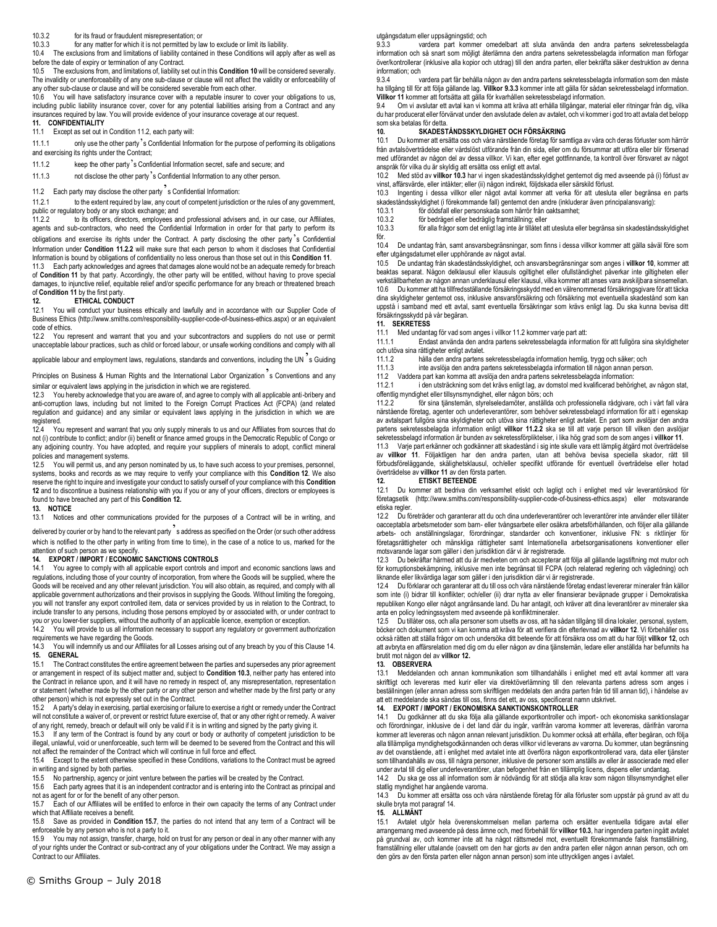### 10.3.2 for its fraud or fraudulent misrepresentation; or

10.3.3 for any matter for which it is not permitted by law to exclude or limit its liability.

10.4 The exclusions from and limitations of liability contained in these Conditions will apply after as well as before the date of expiry or termination of any Contract.

10.5 The exclusions from, and limitations of, liability set out in this **Condition 10** will be considered severally. The invalidity or unenforceability of any one sub-clause or clause will not affect the validity or enforceability of any other sub-clause or clause and will be considered severable from each other.

10.6 You will have satisfactory insurance cover with a reputable insurer to cover your obligations to us, including public liability insurance cover, cover for any potential liabilities arising from a Contract and any insurances required by law. You will provide evidence of your insurance coverage at our request.

### **11. CONFIDENTIALITY**

11.1 Except as set out in Condition 11.2, each party will:

11.1.1 only use the other party's Confidential Information for the purpose of performing its obligations and exercising its rights under the Contract;

11.1.2 keep the other party's Confidential Information secret, safe and secure; and

11.1.3 not disclose the other party's Confidential Information to any other person.

11.2 Each party may disclose the other party<sup>3</sup>s Confidential Information:<br>11.2.1 to the extent required by law, any court of competent iurisdictions

to the extent required by law, any court of competent jurisdiction or the rules of any government, public or regulatory body or any stock exchange; and<br>11.2.2 to its officers, directors, employees an

to its officers, directors, employees and professional advisers and, in our case, our Affiliates, agents and sub-contractors, who need the Confidential Information in order for that party to perform its obligations and exercise its rights under the Contract. A party disclosing the other party's Confidential Information under **Condition 11.2.2** will make sure that each person to whom it discloses that Confidential Information is bound by obligations of confidentiality no less onerous than those set out in this **Condition 11**.

11.3 Each party acknowledges and agrees that damages alone would not be an adequate remedy for breach of **Condition 11** by that party. Accordingly, the other party will be entitled, without having to prove special damages, to injunctive relief, equitable relief and/or specific performance for any breach or threatened breach of **Condition 11** by the first party.

**12. ETHICAL CONDUCT**<br>12.1 You will conduct your busine You will conduct your business ethically and lawfully and in accordance with our Supplier Code of Business Ethics (http://www.smiths.com/responsibility-supplier-code-of-business-ethics.aspx) or an equivalent

code of ethics. 12.2 You represent and warrant that you and your subcontractors and suppliers do not use or permit unacceptable labour practices, such as child or forced labour, or unsafe working conditions and comply with all

applicable labour and employment laws, regulations, standards and conventions, including the UN  $\overline{\phantom{a}}$  s Guiding

Principles on Business & Human Rights and the International Labor Organization s Conventions and any similar or equivalent laws applying in the jurisdiction in which we are registered.

12.3 You hereby acknowledge that you are aware of, and agree to comply with all applicable anti-bribery and anti-corruption laws, including but not limited to the Foreign Corrupt Practices Act (FCPA) (and related regulation and guidance) and any similar or equivalent laws applying in the jurisdiction in which we are registered.

12.4 You represent and warrant that you only supply minerals to us and our Affiliates from sources that do not (i) contribute to conflict; and/or (ii) benefit or finance armed groups in the Democratic Republic of Congo or any adjoining country. You have adopted, and require your suppliers of minerals to adopt, conflict mineral policies and management systems.

12.5 You will permit us, and any person nominated by us, to have such access to your premises, personnel. systems, books and records as we may require to verify your compliance with this **Condition 12**. We also reserve the right to inquire and investigate your conduct to satisfy ourself of your compliance with this **Condition 12** and to discontinue a business relationship with you if you or any of your officers, directors or employees is found to have breached any part of this **Condition 12.** 

#### **13. NOTICE**

13.1 Notices and other communications provided for the purposes of a Contract will be in writing, and

delivered by courier or by hand to the relevant party's address as specified on the Order (or such other address which is notified to the other party in writing from time to time), in the case of a notice to us, marked for the attention of such person as we specify.

### **14. EXPORT / IMPORT / ECONOMIC SANCTIONS CONTROLS**

You agree to comply with all applicable export controls and import and economic sanctions laws and regulations, including those of your country of incorporation, from where the Goods will be supplied, where the Goods will be received and any other relevant jurisdiction. You will also obtain, as required, and comply with all applicable government authorizations and their provisos in supplying the Goods. Without limiting the foregoing, you will not transfer any export controlled item, data or services provided by us in relation to the Contract, to include transfer to any persons, including those persons employed by or associated with, or under contract to you or you lower-tier suppliers, without the authority of an applicable licence, exemption or exception.

You will provide to us all information necessary to support any regulatory or government authorization requirements we have regarding the Goods.

14.3 You will indemnify us and our Affiliates for all Losses arising out of any breach by you of this Clause 14. **15. GENERAL**

15.1 The Contract constitutes the entire agreement between the parties and supersedes any prior agreement or arrangement in respect of its subject matter and, subject to **Condition 10.3**, neither party has entered into the Contract in reliance upon, and it will have no remedy in respect of, any misrepresentation, representatio n or statement (whether made by the other party or any other person and whether made by the first party or any other person) which is not expressly set out in the Contract.<br>15.2 A party's delay in exercising, partial exercising or fail

A party's delay in exercising, partial exercising or failure to exercise a right or remedy under the Contract will not constitute a waiver of, or prevent or restrict future exercise of, that or any other right or remedy. A waiver of any right, remedy, breach or default will only be valid if it is in writing and signed by the party giving it.

15.3 If any term of the Contract is found by any court or body or authority of competent jurisdiction to be illegal, unlawful, void or unenforceable, such term will be deemed to be severed from the Contract and this will not affect the remainder of the Contract which will continue in full force and effect.

15.4 Except to the extent otherwise specified in these Conditions, variations to the Contract must be agreed in writing and signed by both parties.

15.5 No partnership, agency or joint venture between the parties will be created by the Contract.

15.6 Each party agrees that it is an independent contractor and is entering into the Contract as principal and

not as agent for or for the benefit of any other person.<br>15.7 Fach of our Affiliates will be entitled to enforce Each of our Affiliates will be entitled to enforce in their own capacity the terms of any Contract under which that Affiliate receives a benefit.

15.8 Save as provided in **Condition 15.7**, the parties do not intend that any term of a Contract will be enforceable by any person who is not a party to it.

15.9 You may not assign, transfer, charge, hold on trust for any person or deal in any other manner with any of your rights under the Contract or sub-contract any of your obligations under the Contract. We may assign a Contract to our Affiliates.

© Smiths Group – July 2018

utgångsdatum eller uppsägningstid; och

9.3.3 vardera part kommer omedelbart att sluta använda den andra partens sekretessbelagda information och så snart som möjligt återlämna den andra partens sekretessbelagda information man förfogar över/kontrollerar (inklusive alla kopior och utdrag) till den andra parten, eller bekräfta säker destruktion av denna information; och

9.3.4 vardera part får behålla någon av den andra partens sekretessbelagda information som den måste ha tillgång till för att följa gällande lag. **Villkor 9.3.3** kommer inte att gälla för sådan sekretessbelagd information. **Villkor 11** kommer att fortsätta att gälla för kvarhållen sekretessbelagd information.

9.4 Om vi avslutar ett avtal kan vi komma att kräva att erhålla tillgångar, material eller ritningar från dig, vilka du har producerat eller förvärvat under den avslutade delen av avtalet, och vi kommer i god tro att avtala det belopp som ska betalas för detta.

### **10. SKADESTÅNDSSKYLDIGHET OCH FÖRSÄKRING**

10.1 Du kommer att ersätta oss och våra närstående företag för samtliga av våra och deras förluster som härrör från avtalsöverträdelse eller vårdslöst utförande från din sida, eller om du försummar att utföra eller blir försenad med utförandet av någon del av dessa villkor. Vi kan, efter eget gottfinnande, ta kontroll över försvaret av något anspråk för vilka du är skyldig att ersätta oss enligt ett avtal.

10.2 Med stöd av **villkor 10.3** har vi ingen skadeståndsskyldighet gentemot dig med avseende på (i) förlust av vinst, affärsvärde, eller intäkter; eller (ii) någon indirekt, följdskada eller särskild förlust.

10.3 Ingenting i dessa villkor eller något avtal kommer att verka för att utesluta eller begränsa en parts skadeståndsskyldighet (i förekommande fall) gentemot den andre (inkluderar även principalansvarig):<br>10.3.1 för dödsfall eller nersonskada som härrör från oaktsamhet:

10.3.1 för dödsfall eller personskada som härrör från oaktsamhet;<br>10.3.2 för bedrägeri eller bedräglig framställning: eller

10.3.2 för bedrägeri eller bedräglig framställning; eller<br>10.3.3 för alla frågor som det enligt lag inte är tillåtet at

10.3.3 för alla frågor som det enligt lag inte är tillåtet att utesluta eller begränsa sin skadeståndsskyldighet för.

10.4 De undantag från, samt ansvarsbegränsningar, som finns i dessa villkor kommer att gälla såväl före som efter utgångsdatumet eller upphörande av något avtal.

10.5 De undantag från skadeståndsskyldighet, och ansvarsbegränsningar som anges i **villkor 10**, kommer att beaktas separat. Någon delklausul eller klausuls ogiltighet eller ofullständighet påverkar inte giltigheten eller verkställbarheten av någon annan underklausul eller klausul, vilka kommer att anses vara avskiljbara sinsemellan. 10.6 Du kommer att ha tillfredsställande försäkringsskydd med en välrenommerad försäkringsgivare för att täcka dina skyldigheter gentemot oss, inklusive ansvarsförsäkring och försäkring mot eventuella skadestånd som kan uppstå i samband med ett avtal, samt eventuella försäkringar som krävs enligt lag. Du ska kunna bevisa ditt försäkringsskydd på vår begäran.

### **11. SEKRETESS**

11.1 Med undantag för vad som anges i villkor 11.2 kommer varje part att:

11.1.1 Endast använda den andra partens sekretessbelagda information för att fullgöra sina skyldigheter

och utöva sina rättigheter enligt avtalet.<br>11.1.2 hålla den andra partens 11.1.2 hålla den andra partens sekretessbelagda information hemlig, trygg och säker; och

inte avslöja den andra partens sekretessbelagda information till någon annan person.

11.2 Vaddera part kan komma att avslöja den andra partens sekretessbelagda information:

i den utsträckning som det krävs enligt lag, av domstol med kvalificerad behörighet, av någon stat, offentlig myndighet eller tillsynsmyndighet, eller någon börs; och<br>11.2.2 för sina tiänstemän, styrelseledamöter, anställda

11.2.2 för sina tjänstemän, styrelseledamöter, anställda och professionella rådgivare, och i vårt fall våra närstående företag, agenter och underleverantörer, som behöver sekretessbelagd information för att i egenskap av avtalspart fullgöra sina skyldigheter och utöva sina rättigheter enligt avtalet. En part som avslöjar den andra partens sekretessbelagda information enligt **villkor 11.2.2** ska se till att varje person till vilken den avslöjar sekretessbelagd information är bunden av sekretessförpliktelser, i lika hög grad som de som anges i **villkor 11**.

11.3 Varje part erkänner och godkänner att skadestånd i sig inte skulle vara ett lämplig åtgärd mot överträdelse av **villkor 11**. Följaktligen har den andra parten, utan att behöva bevisa speciella skador, rätt till förbudsföreläggande, skälighetsklausul, och/eller specifikt utförande för eventuell överträdelse eller hotad överträdelse av **villkor 11** av den första parten.

**12. ETISKT BETEENDE**

12.1 Du kommer att bedriva din verksamhet etiskt och lagligt och i enlighet med vår leverantörskod för företagsetik (http://www.smiths.com/responsibility-supplier-code-of-business-ethics.aspx) eller motsvarande etiska regler.

12.2 Du företräder och garanterar att du och dina underleverantörer och leverantörer inte använder eller tillåter oacceptabla arbetsmetoder som barn- eller tvångsarbete eller osäkra arbetsförhållanden, och följer alla gällande arbets- och anställningslagar, förordningar, standarder och konventioner, inklusive FN: s riktlinjer för företagsrättigheter och mänskliga rättigheter samt Internationella arbetsorganisationens konventioner eller motsvarande lagar som gäller i den jurisdiktion där vi är registrerade.

12.3 Du bekräftar härmed att du är medveten om och accepterar att följa all gällande lagstiftning mot mutor och för korruptionsbekämpning, inklusive men inte begränsat till FCPA (och relaterad reglering och vägledning) och liknande eller likvärdiga lagar som gäller i den jurisdiktion där vi är registrerade.

12.4 Du förklarar och garanterar att du till oss och våra närstående företag endast levererar mineraler från källor som inte (i) bidrar till konflikter; och/eller (ii) drar nytta av eller finansierar beväpnade grupper i Demokratiska republiken Kongo eller något angränsande land. Du har antagit, och kräver att dina leverantörer av mineraler ska anta en policy ledningssystem med avseende på konfliktmineraler.

Du tillåter oss, och alla personer som utsetts av oss, att ha sådan tillgång till dina lokaler, personal, system, böcker och dokument som vi kan komma att kräva för att verifiera din efterlevnad av **villkor 12**. Vi förbehåller oss också rätten att ställa frågor om och undersöka ditt beteende för att försäkra oss om att du har följt **villkor 12**, och att avbryta en affärsrelation med dig om du eller någon av dina tjänstemän, ledare eller anställda har befunnits ha brutit mot någon del av **villkor 12.** 

# **13. OBSERVERA**

Meddelanden och annan kommunikation som tillhandahålls i enlighet med ett avtal kommer att vara skriftligt och levereras med kurir eller via direktöverlämning till den relevanta partens adress som anges i beställningen (eller annan adress som skriftligen meddelats den andra parten från tid till annan tid), i händelse av att ett meddelande ska sändas till oss, finns det ett, av oss, specificerat namn utskrivet.

# **14. EXPORT / IMPORT / EKONOMISKA SANKTIONSKONTROLLER**

Du godkänner att du ska följa alla gällande exportkontroller och import- och ekonomiska sanktionslagar och förordningar, inklusive de i det land där du ingår, varifrån varorna kommer att levereras, därifrån varorna kommer att levereras och någon annan relevant jurisdiktion. Du kommer också att erhålla, efter begäran, och följa alla tillämpliga myndighetsgodkännanden och deras villkor vid leverans av varorna. Du kommer, utan begränsning av det ovanstående, att i enlighet med avtalet inte att överföra någon exportkontrollerad vara, data eller tjänster som tillhandahålls av oss, till några personer, inklusive de personer som anställs av eller är associerade med eller under avtal till dig eller underleverantörer, utan befogenhet från en tillämplig licens, dispens eller undantag.

Du ska ge oss all information som är nödvändig för att stödja alla krav som någon tillsynsmyndighet eller statlig myndighet har angående varorna.

14.3 Du kommer att ersätta oss och våra närstående företag för alla förluster som uppstår på grund av att du skulle bryta mot paragraf 14.

### **15. ALLMÄNT**

Avtalet utgör hela överenskommelsen mellan parterna och ersätter eventuella tidigare avtal eller arrangemang med avseende på dess ämne och, med förbehåll för **villkor 10.3**, har ingendera parten ingått avtalet på grundval av, och kommer inte att ha något rättsmedel mot, eventuellt förekommande falsk framställning, framställning eller uttalande (oavsett om den har gjorts av den andra parten eller någon annan person, och om den görs av den första parten eller någon annan person) som inte uttryckligen anges i avtalet.